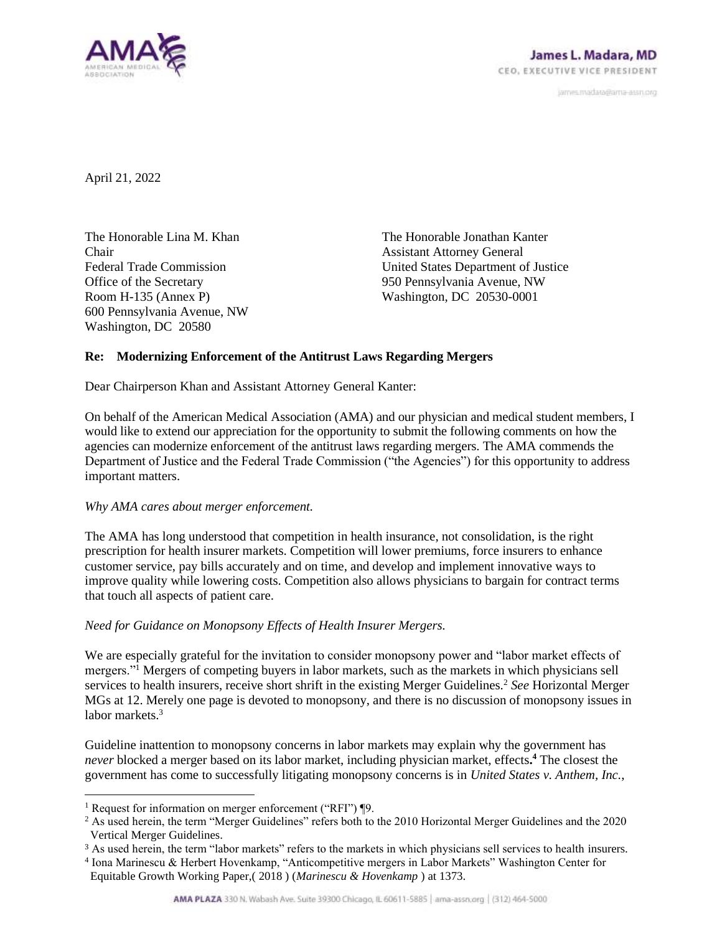

janves.madara@ama-assn.org

April 21, 2022

The Honorable Lina M. Khan Chair Federal Trade Commission Office of the Secretary Room H-135 (Annex P) 600 Pennsylvania Avenue, NW Washington, DC 20580

The Honorable Jonathan Kanter Assistant Attorney General United States Department of Justice 950 Pennsylvania Avenue, NW Washington, DC 20530-0001

# **Re: Modernizing Enforcement of the Antitrust Laws Regarding Mergers**

Dear Chairperson Khan and Assistant Attorney General Kanter:

On behalf of the American Medical Association (AMA) and our physician and medical student members, I would like to extend our appreciation for the opportunity to submit the following comments on how the agencies can modernize enforcement of the antitrust laws regarding mergers. The AMA commends the Department of Justice and the Federal Trade Commission ("the Agencies") for this opportunity to address important matters.

## *Why AMA cares about merger enforcement.*

The AMA has long understood that competition in health insurance, not consolidation, is the right prescription for health insurer markets. Competition will lower premiums, force insurers to enhance customer service, pay bills accurately and on time, and develop and implement innovative ways to improve quality while lowering costs. Competition also allows physicians to bargain for contract terms that touch all aspects of patient care.

## *Need for Guidance on Monopsony Effects of Health Insurer Mergers.*

We are especially grateful for the invitation to consider monopsony power and "labor market effects of mergers."<sup>1</sup> Mergers of competing buyers in labor markets, such as the markets in which physicians sell services to health insurers, receive short shrift in the existing Merger Guidelines.<sup>2</sup> See Horizontal Merger MGs at 12. Merely one page is devoted to monopsony, and there is no discussion of monopsony issues in labor markets.<sup>3</sup>

Guideline inattention to monopsony concerns in labor markets may explain why the government has *never* blocked a merger based on its labor market, including physician market, effects**. <sup>4</sup>** The closest the government has come to successfully litigating monopsony concerns is in *United States v. Anthem, Inc.*,

<sup>&</sup>lt;sup>1</sup> Request for information on merger enforcement ("RFI") ¶9.

 $2$  As used herein, the term "Merger Guidelines" refers both to the 2010 Horizontal Merger Guidelines and the 2020 Vertical Merger Guidelines.

<sup>3</sup> As used herein, the term "labor markets" refers to the markets in which physicians sell services to health insurers.

<sup>4</sup> Iona Marinescu & Herbert Hovenkamp, "Anticompetitive mergers in Labor Markets" Washington Center for Equitable Growth Working Paper,( 2018 ) (*Marinescu & Hovenkamp* ) at 1373.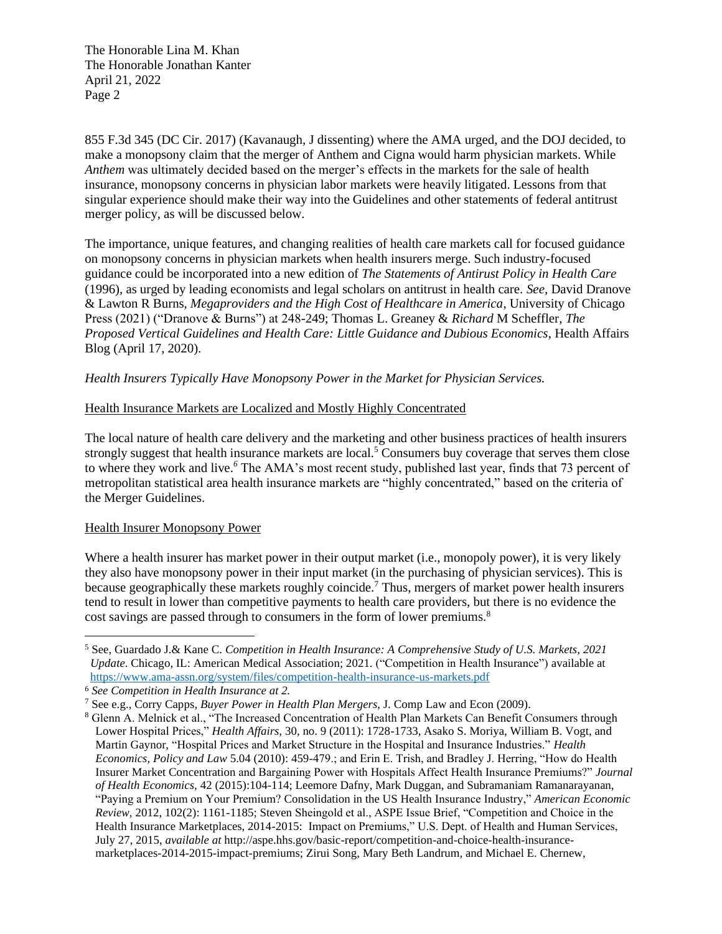855 F.3d 345 (DC Cir. 2017) (Kavanaugh, J dissenting) where the AMA urged, and the DOJ decided, to make a monopsony claim that the merger of Anthem and Cigna would harm physician markets. While *Anthem* was ultimately decided based on the merger's effects in the markets for the sale of health insurance, monopsony concerns in physician labor markets were heavily litigated. Lessons from that singular experience should make their way into the Guidelines and other statements of federal antitrust merger policy, as will be discussed below.

The importance, unique features, and changing realities of health care markets call for focused guidance on monopsony concerns in physician markets when health insurers merge. Such industry-focused guidance could be incorporated into a new edition of *The Statements of Antirust Policy in Health Care* (1996), as urged by leading economists and legal scholars on antitrust in health care*. See,* David Dranove & Lawton R Burns, *Megaproviders and the High Cost of Healthcare in America*, University of Chicago Press (2021) ("Dranove & Burns") at 248-249; Thomas L. Greaney & *Richard* M Scheffler, *The Proposed Vertical Guidelines and Health Care: Little Guidance and Dubious Economics*, Health Affairs Blog (April 17, 2020).

*Health Insurers Typically Have Monopsony Power in the Market for Physician Services.*

# Health Insurance Markets are Localized and Mostly Highly Concentrated

The local nature of health care delivery and the marketing and other business practices of health insurers strongly suggest that health insurance markets are local.<sup>5</sup> Consumers buy coverage that serves them close to where they work and live.*<sup>6</sup>* The AMA's most recent study, published last year, finds that 73 percent of metropolitan statistical area health insurance markets are "highly concentrated," based on the criteria of the Merger Guidelines.

## Health Insurer Monopsony Power

Where a health insurer has market power in their output market (i.e., monopoly power), it is very likely they also have monopsony power in their input market (in the purchasing of physician services). This is because geographically these markets roughly coincide.<sup>7</sup> Thus, mergers of market power health insurers tend to result in lower than competitive payments to health care providers, but there is no evidence the cost savings are passed through to consumers in the form of lower premiums.<sup>8</sup>

<sup>5</sup> See, Guardado J.& Kane C. *Competition in Health Insurance: A Comprehensive Study of U.S. Markets*, *2021 Update*. Chicago, IL: American Medical Association; 2021. ("Competition in Health Insurance") available at <https://www.ama-assn.org/system/files/competition-health-insurance-us-markets.pdf>

<sup>6</sup> *See Competition in Health Insurance at 2.*

<sup>7</sup> See e.g., Corry Capps*, Buyer Power in Health Plan Mergers*, J. Comp Law and Econ (2009).

<sup>8</sup> Glenn A. Melnick et al., "The Increased Concentration of Health Plan Markets Can Benefit Consumers through Lower Hospital Prices," *Health Affairs,* 30, no. 9 (2011): 1728-1733, Asako S. Moriya, William B. Vogt, and Martin Gaynor, "Hospital Prices and Market Structure in the Hospital and Insurance Industries." *Health Economics, Policy and Law* 5.04 (2010): 459-479.; and Erin E. Trish, and Bradley J. Herring, "How do Health Insurer Market Concentration and Bargaining Power with Hospitals Affect Health Insurance Premiums?" *Journal of Health Economics,* 42 (2015):104-114; Leemore Dafny, Mark Duggan, and Subramaniam Ramanarayanan, "Paying a Premium on Your Premium? Consolidation in the US Health Insurance Industry," *American Economic Review,* 2012, 102(2): 1161-1185; Steven Sheingold et al., ASPE Issue Brief, "Competition and Choice in the Health Insurance Marketplaces, 2014-2015: Impact on Premiums," U.S. Dept. of Health and Human Services, July 27, 2015, *available at* http://aspe.hhs.gov/basic-report/competition-and-choice-health-insurancemarketplaces-2014-2015-impact-premiums; Zirui Song, Mary Beth Landrum, and Michael E. Chernew,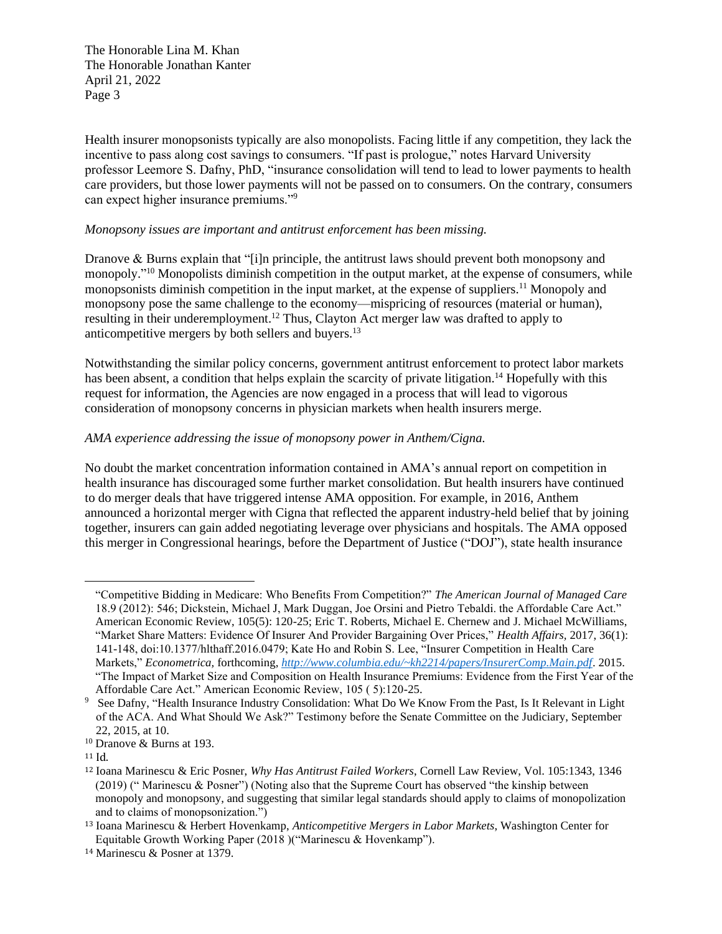Health insurer monopsonists typically are also monopolists. Facing little if any competition, they lack the incentive to pass along cost savings to consumers. "If past is prologue," notes Harvard University professor Leemore S. Dafny, PhD, "insurance consolidation will tend to lead to lower payments to health care providers, but those lower payments will not be passed on to consumers. On the contrary, consumers can expect higher insurance premiums."<sup>9</sup>

#### *Monopsony issues are important and antitrust enforcement has been missing.*

Dranove & Burns explain that "[i]n principle, the antitrust laws should prevent both monopsony and monopoly."<sup>10</sup> Monopolists diminish competition in the output market, at the expense of consumers, while monopsonists diminish competition in the input market, at the expense of suppliers.<sup>11</sup> Monopoly and monopsony pose the same challenge to the economy—mispricing of resources (material or human), resulting in their underemployment.<sup>12</sup> Thus, Clayton Act merger law was drafted to apply to anticompetitive mergers by both sellers and buyers.<sup>13</sup>

Notwithstanding the similar policy concerns, government antitrust enforcement to protect labor markets has been absent, a condition that helps explain the scarcity of private litigation.<sup>14</sup> Hopefully with this request for information, the Agencies are now engaged in a process that will lead to vigorous consideration of monopsony concerns in physician markets when health insurers merge.

#### *AMA experience addressing the issue of monopsony power in Anthem/Cigna.*

No doubt the market concentration information contained in AMA's annual report on competition in health insurance has discouraged some further market consolidation. But health insurers have continued to do merger deals that have triggered intense AMA opposition. For example, in 2016, Anthem announced a horizontal merger with Cigna that reflected the apparent industry-held belief that by joining together, insurers can gain added negotiating leverage over physicians and hospitals. The AMA opposed this merger in Congressional hearings, before the Department of Justice ("DOJ"), state health insurance

<sup>&</sup>quot;Competitive Bidding in Medicare: Who Benefits From Competition?" *The American Journal of Managed Care*  18.9 (2012): 546; Dickstein, Michael J, Mark Duggan, Joe Orsini and Pietro Tebaldi. the Affordable Care Act." American Economic Review, 105(5): 120-25; Eric T. Roberts, Michael E. Chernew and J. Michael McWilliams, "Market Share Matters: Evidence Of Insurer And Provider Bargaining Over Prices," *Health Affairs,* 2017, 36(1): 141-148, doi:10.1377/hlthaff.2016.0479; Kate Ho and Robin S. Lee, "Insurer Competition in Health Care Markets," *Econometrica,* forthcoming, *<http://www.columbia.edu/~kh2214/papers/InsurerComp.Main.pdf>*. 2015. "The Impact of Market Size and Composition on Health Insurance Premiums: Evidence from the First Year of the Affordable Care Act." American Economic Review, 105 ( 5):120-25.

<sup>9</sup> See Dafny, "Health Insurance Industry Consolidation: What Do We Know From the Past, Is It Relevant in Light of the ACA. And What Should We Ask?" Testimony before the Senate Committee on the Judiciary, September 22, 2015, at 10.

<sup>10</sup> Dranove & Burns at 193.

<sup>11</sup> Id.

<sup>12</sup> Ioana Marinescu & Eric Posner, *Why Has Antitrust Failed Workers*, Cornell Law Review, Vol. 105:1343, 1346 (2019) (" Marinescu & Posner") (Noting also that the Supreme Court has observed "the kinship between monopoly and monopsony, and suggesting that similar legal standards should apply to claims of monopolization and to claims of monopsonization.")

<sup>13</sup> Ioana Marinescu & Herbert Hovenkamp, *Anticompetitive Mergers in Labor Markets*, Washington Center for Equitable Growth Working Paper (2018 )("Marinescu & Hovenkamp").

<sup>14</sup> Marinescu & Posner at 1379.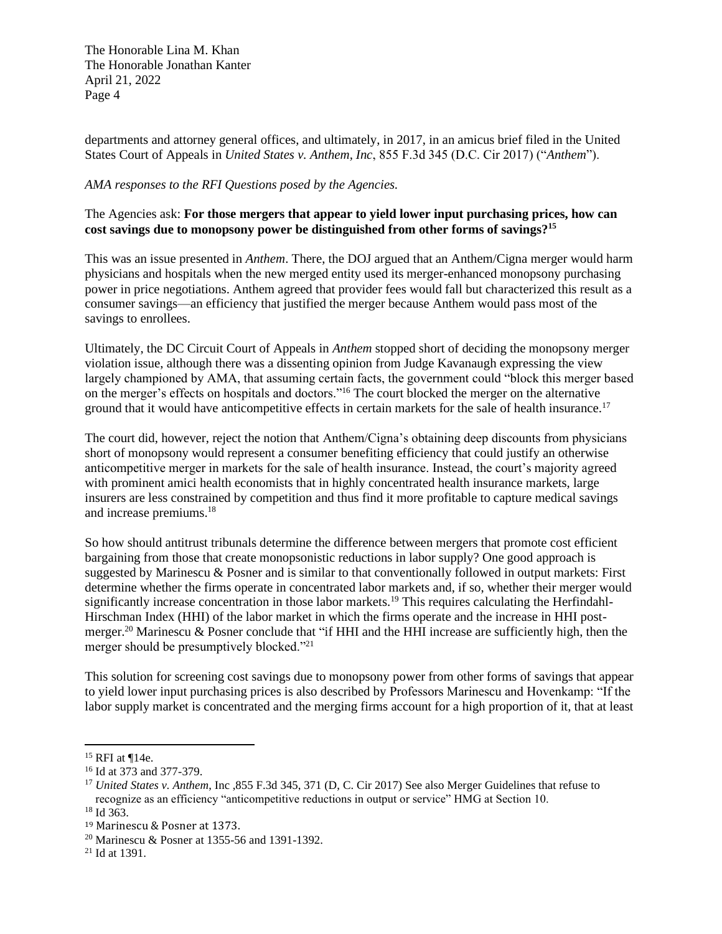departments and attorney general offices, and ultimately, in 2017, in an amicus brief filed in the United States Court of Appeals in *United States v. Anthem, Inc*, 855 F.3d 345 (D.C. Cir 2017) ("*Anthem*").

## *AMA responses to the RFI Questions posed by the Agencies.*

# The Agencies ask: **For those mergers that appear to yield lower input purchasing prices, how can cost savings due to monopsony power be distinguished from other forms of savings?<sup>15</sup>**

This was an issue presented in *Anthem*. There, the DOJ argued that an Anthem/Cigna merger would harm physicians and hospitals when the new merged entity used its merger-enhanced monopsony purchasing power in price negotiations. Anthem agreed that provider fees would fall but characterized this result as a consumer savings—an efficiency that justified the merger because Anthem would pass most of the savings to enrollees.

Ultimately, the DC Circuit Court of Appeals in *Anthem* stopped short of deciding the monopsony merger violation issue, although there was a dissenting opinion from Judge Kavanaugh expressing the view largely championed by AMA, that assuming certain facts, the government could "block this merger based on the merger's effects on hospitals and doctors."<sup>16</sup> The court blocked the merger on the alternative ground that it would have anticompetitive effects in certain markets for the sale of health insurance.<sup>17</sup>

The court did, however, reject the notion that Anthem/Cigna's obtaining deep discounts from physicians short of monopsony would represent a consumer benefiting efficiency that could justify an otherwise anticompetitive merger in markets for the sale of health insurance. Instead, the court's majority agreed with prominent amici health economists that in highly concentrated health insurance markets, large insurers are less constrained by competition and thus find it more profitable to capture medical savings and increase premiums.<sup>18</sup>

So how should antitrust tribunals determine the difference between mergers that promote cost efficient bargaining from those that create monopsonistic reductions in labor supply? One good approach is suggested by Marinescu & Posner and is similar to that conventionally followed in output markets: First determine whether the firms operate in concentrated labor markets and, if so, whether their merger would significantly increase concentration in those labor markets.<sup>19</sup> This requires calculating the Herfindahl-Hirschman Index (HHI) of the labor market in which the firms operate and the increase in HHI postmerger.<sup>20</sup> Marinescu & Posner conclude that "if HHI and the HHI increase are sufficiently high, then the merger should be presumptively blocked."<sup>21</sup>

This solution for screening cost savings due to monopsony power from other forms of savings that appear to yield lower input purchasing prices is also described by Professors Marinescu and Hovenkamp: "If the labor supply market is concentrated and the merging firms account for a high proportion of it, that at least

 $15$  RFI at ¶14e.

<sup>16</sup> Id at 373 and 377-379.

<sup>&</sup>lt;sup>17</sup> *United States v. Anthem*, Inc ,855 F.3d 345, 371 (D, C. Cir 2017) See also Merger Guidelines that refuse to recognize as an efficiency "anticompetitive reductions in output or service" HMG at Section 10. <sup>18</sup> Id 363.

<sup>19</sup> Marinescu & Posner at 1373.

<sup>20</sup> Marinescu & Posner at 1355-56 and 1391-1392.

 $21$  Id at 1391.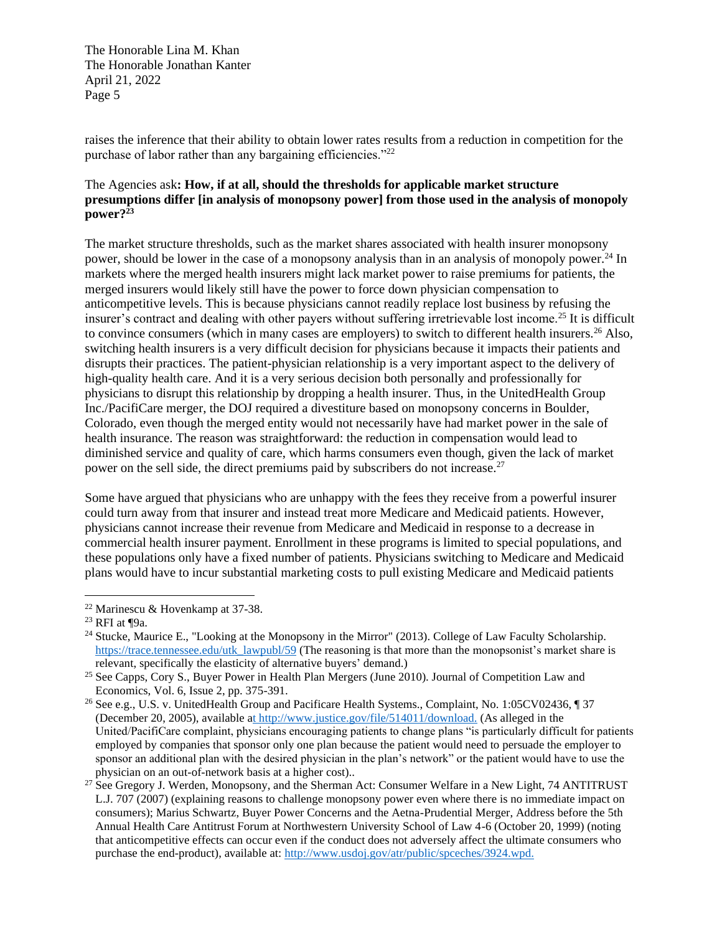raises the inference that their ability to obtain lower rates results from a reduction in competition for the purchase of labor rather than any bargaining efficiencies."<sup>22</sup>

# The Agencies ask**: How, if at all, should the thresholds for applicable market structure presumptions differ [in analysis of monopsony power] from those used in the analysis of monopoly**   $\frac{1}{2}$ **power**?<sup>23</sup>

The market structure thresholds, such as the market shares associated with health insurer monopsony power, should be lower in the case of a monopsony analysis than in an analysis of monopoly power.<sup>24</sup> In markets where the merged health insurers might lack market power to raise premiums for patients, the merged insurers would likely still have the power to force down physician compensation to anticompetitive levels. This is because physicians cannot readily replace lost business by refusing the insurer's contract and dealing with other payers without suffering irretrievable lost income.<sup>25</sup> It is difficult to convince consumers (which in many cases are employers) to switch to different health insurers.<sup>26</sup> Also, switching health insurers is a very difficult decision for physicians because it impacts their patients and disrupts their practices. The patient-physician relationship is a very important aspect to the delivery of high-quality health care. And it is a very serious decision both personally and professionally for physicians to disrupt this relationship by dropping a health insurer. Thus, in the UnitedHealth Group Inc./PacifiCare merger, the DOJ required a divestiture based on monopsony concerns in Boulder, Colorado, even though the merged entity would not necessarily have had market power in the sale of health insurance. The reason was straightforward: the reduction in compensation would lead to diminished service and quality of care, which harms consumers even though, given the lack of market power on the sell side, the direct premiums paid by subscribers do not increase.<sup>27</sup>

Some have argued that physicians who are unhappy with the fees they receive from a powerful insurer could turn away from that insurer and instead treat more Medicare and Medicaid patients. However, physicians cannot increase their revenue from Medicare and Medicaid in response to a decrease in commercial health insurer payment. Enrollment in these programs is limited to special populations, and these populations only have a fixed number of patients. Physicians switching to Medicare and Medicaid plans would have to incur substantial marketing costs to pull existing Medicare and Medicaid patients

<sup>22</sup> Marinescu & Hovenkamp at 37-38.

<sup>23</sup> RFI at ¶9a.

<sup>&</sup>lt;sup>24</sup> Stucke, Maurice E., "Looking at the Monopsony in the Mirror" (2013). College of Law Faculty Scholarship. [https://trace.tennessee.edu/utk\\_lawpubl/59](https://trace.tennessee.edu/utk_lawpubl/59) (The reasoning is that more than the monopsonist's market share is relevant, specifically the elasticity of alternative buyers' demand.)

<sup>&</sup>lt;sup>25</sup> See Capps, Cory S., Buyer Power in Health Plan Mergers (June 2010). Journal of Competition Law and Economics, Vol. 6, Issue 2, pp. 375-391.

<sup>&</sup>lt;sup>26</sup> See e.g., U.S. v. UnitedHealth Group and Pacificare Health Systems., Complaint, No. 1:05CV02436, ¶ 37 (December 20, 2005), available [at http://www.justice.gov/file/514011/download.](http://www.justice.gov/file/514011/download) (As alleged in the United/PacifiCare complaint, physicians encouraging patients to change plans "is particularly difficult for patients employed by companies that sponsor only one plan because the patient would need to persuade the employer to sponsor an additional plan with the desired physician in the plan's network" or the patient would have to use the physician on an out-of-network basis at a higher cost)..

<sup>&</sup>lt;sup>27</sup> See Gregory J. Werden, Monopsony, and the Sherman Act: Consumer Welfare in a New Light, 74 ANTITRUST L.J. 707 (2007) (explaining reasons to challenge monopsony power even where there is no immediate impact on consumers); Marius Schwartz, Buyer Power Concerns and the Aetna-Prudential Merger, Address before the 5th Annual Health Care Antitrust Forum at Northwestern University School of Law 4-6 (October 20, 1999) (noting that anticompetitive effects can occur even if the conduct does not adversely affect the ultimate consumers who purchase the end-product), available at: [http://www.usdoj.gov/atr/public/spceches/3924.wpd.](http://www.usdoj.gov/atr/public/spceches/3924.wpd)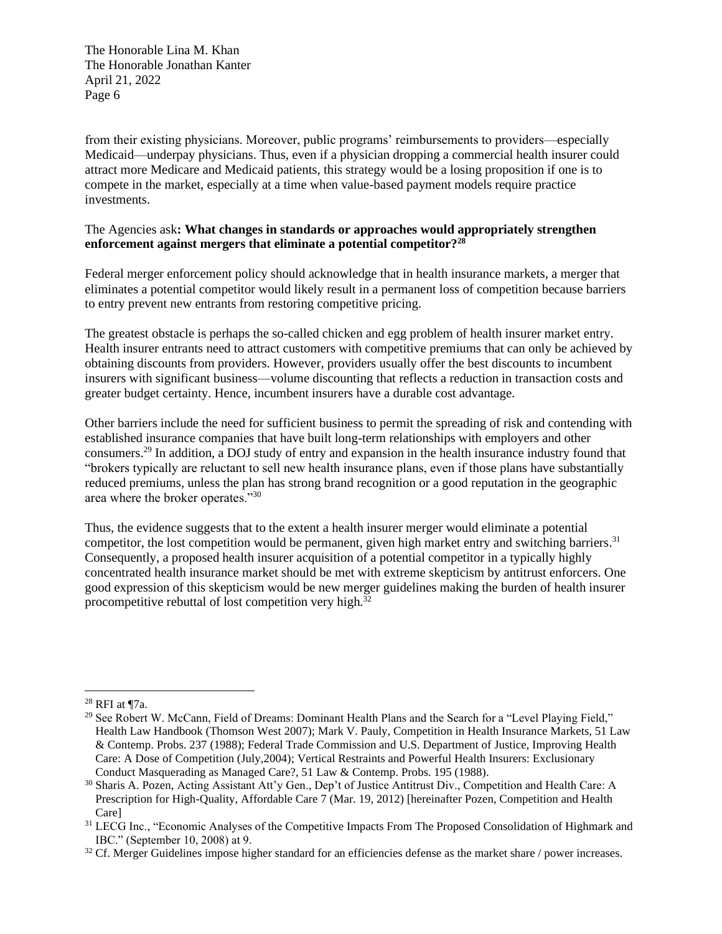from their existing physicians. Moreover, public programs' reimbursements to providers—especially Medicaid—underpay physicians. Thus, even if a physician dropping a commercial health insurer could attract more Medicare and Medicaid patients, this strategy would be a losing proposition if one is to compete in the market, especially at a time when value-based payment models require practice investments.

# The Agencies ask**: What changes in standards or approaches would appropriately strengthen enforcement against mergers that eliminate a potential competitor?<sup>28</sup>**

Federal merger enforcement policy should acknowledge that in health insurance markets, a merger that eliminates a potential competitor would likely result in a permanent loss of competition because barriers to entry prevent new entrants from restoring competitive pricing.

The greatest obstacle is perhaps the so-called chicken and egg problem of health insurer market entry. Health insurer entrants need to attract customers with competitive premiums that can only be achieved by obtaining discounts from providers. However, providers usually offer the best discounts to incumbent insurers with significant business—volume discounting that reflects a reduction in transaction costs and greater budget certainty. Hence, incumbent insurers have a durable cost advantage.

Other barriers include the need for sufficient business to permit the spreading of risk and contending with established insurance companies that have built long-term relationships with employers and other consumers.<sup>29</sup> In addition, a DOJ study of entry and expansion in the health insurance industry found that "brokers typically are reluctant to sell new health insurance plans, even if those plans have substantially reduced premiums, unless the plan has strong brand recognition or a good reputation in the geographic area where the broker operates."<sup>30</sup>

Thus, the evidence suggests that to the extent a health insurer merger would eliminate a potential competitor, the lost competition would be permanent, given high market entry and switching barriers.<sup>31</sup> Consequently, a proposed health insurer acquisition of a potential competitor in a typically highly concentrated health insurance market should be met with extreme skepticism by antitrust enforcers. One good expression of this skepticism would be new merger guidelines making the burden of health insurer procompetitive rebuttal of lost competition very high.<sup>32</sup>

<sup>28</sup> RFI at ¶7a.

<sup>&</sup>lt;sup>29</sup> See Robert W. McCann, Field of Dreams: Dominant Health Plans and the Search for a "Level Playing Field," Health Law Handbook (Thomson West 2007); Mark V. Pauly, Competition in Health Insurance Markets, 51 Law & Contemp. Probs. 237 (1988); Federal Trade Commission and U.S. Department of Justice, Improving Health Care: A Dose of Competition (July,2004); Vertical Restraints and Powerful Health Insurers: Exclusionary Conduct Masquerading as Managed Care?, 51 Law & Contemp. Probs. 195 (1988).

<sup>30</sup> Sharis A. Pozen, Acting Assistant Att'y Gen., Dep't of Justice Antitrust Div., Competition and Health Care: A Prescription for High-Quality, Affordable Care 7 (Mar. 19, 2012) [hereinafter Pozen, Competition and Health Care]

<sup>&</sup>lt;sup>31</sup> LECG Inc., "Economic Analyses of the Competitive Impacts From The Proposed Consolidation of Highmark and IBC." (September 10, 2008) at 9.

 $32$  Cf. Merger Guidelines impose higher standard for an efficiencies defense as the market share / power increases.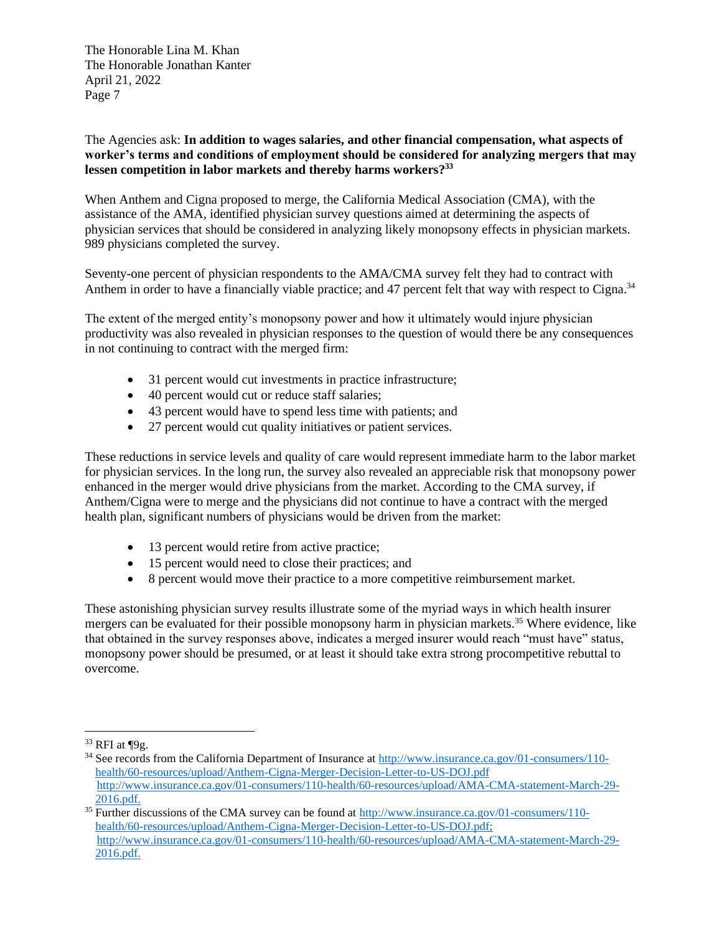## The Agencies ask: **In addition to wages salaries, and other financial compensation, what aspects of worker's terms and conditions of employment should be considered for analyzing mergers that may lessen competition in labor markets and thereby harms workers? 33**

When Anthem and Cigna proposed to merge, the California Medical Association (CMA), with the assistance of the AMA, identified physician survey questions aimed at determining the aspects of physician services that should be considered in analyzing likely monopsony effects in physician markets. 989 physicians completed the survey.

Seventy-one percent of physician respondents to the AMA/CMA survey felt they had to contract with Anthem in order to have a financially viable practice; and 47 percent felt that way with respect to Cigna.<sup>34</sup>

The extent of the merged entity's monopsony power and how it ultimately would injure physician productivity was also revealed in physician responses to the question of would there be any consequences in not continuing to contract with the merged firm:

- 31 percent would cut investments in practice infrastructure;
- 40 percent would cut or reduce staff salaries;
- 43 percent would have to spend less time with patients; and
- 27 percent would cut quality initiatives or patient services.

These reductions in service levels and quality of care would represent immediate harm to the labor market for physician services. In the long run, the survey also revealed an appreciable risk that monopsony power enhanced in the merger would drive physicians from the market. According to the CMA survey, if Anthem/Cigna were to merge and the physicians did not continue to have a contract with the merged health plan, significant numbers of physicians would be driven from the market:

- 13 percent would retire from active practice;
- 15 percent would need to close their practices; and
- 8 percent would move their practice to a more competitive reimbursement market.

These astonishing physician survey results illustrate some of the myriad ways in which health insurer mergers can be evaluated for their possible monopsony harm in physician markets.<sup>35</sup> Where evidence, like that obtained in the survey responses above, indicates a merged insurer would reach "must have" status, monopsony power should be presumed, or at least it should take extra strong procompetitive rebuttal to overcome.

 $33$  RFI at  $\P9g$ .

<sup>&</sup>lt;sup>34</sup> See records from the California Department of Insurance at [http://www.insurance.ca.gov/01-consumers/110](http://www.insurance.ca.gov/01-consumers/110-health/60-resources/upload/Anthem-Cigna-Merger-Decision-Letter-to-US-DOJ.pdf) [health/60-resources/upload/Anthem-Cigna-Merger-Decision-Letter-to-US-DOJ.pdf](http://www.insurance.ca.gov/01-consumers/110-health/60-resources/upload/Anthem-Cigna-Merger-Decision-Letter-to-US-DOJ.pdf) [http://www.insurance.ca.gov/01-consumers/110-health/60-resources/upload/AMA-CMA-statement-March-29-](http://www.insurance.ca.gov/01-consumers/110-health/60-resources/upload/AMA-CMA-statement-March-29-2016.pdf) [2016.pdf.](http://www.insurance.ca.gov/01-consumers/110-health/60-resources/upload/AMA-CMA-statement-March-29-2016.pdf)

<sup>&</sup>lt;sup>35</sup> Further discussions of the CMA survey can be found at [http://www.insurance.ca.gov/01-consumers/110](http://www.insurance.ca.gov/01-consumers/110-health/60-resources/upload/Anthem-Cigna-Merger-Decision-Letter-to-US-DOJ.pdf) [health/60-resources/upload/Anthem-Cigna-Merger-Decision-Letter-to-US-DOJ.pdf;](http://www.insurance.ca.gov/01-consumers/110-health/60-resources/upload/Anthem-Cigna-Merger-Decision-Letter-to-US-DOJ.pdf) [http://www.insurance.ca.gov/01-consumers/110-health/60-resources/upload/AMA-CMA-statement-March-29-](http://www.insurance.ca.gov/01-consumers/110-health/60-resources/upload/AMA-CMA-statement-March-29-2016.pdf) [2016.pdf.](http://www.insurance.ca.gov/01-consumers/110-health/60-resources/upload/AMA-CMA-statement-March-29-2016.pdf)